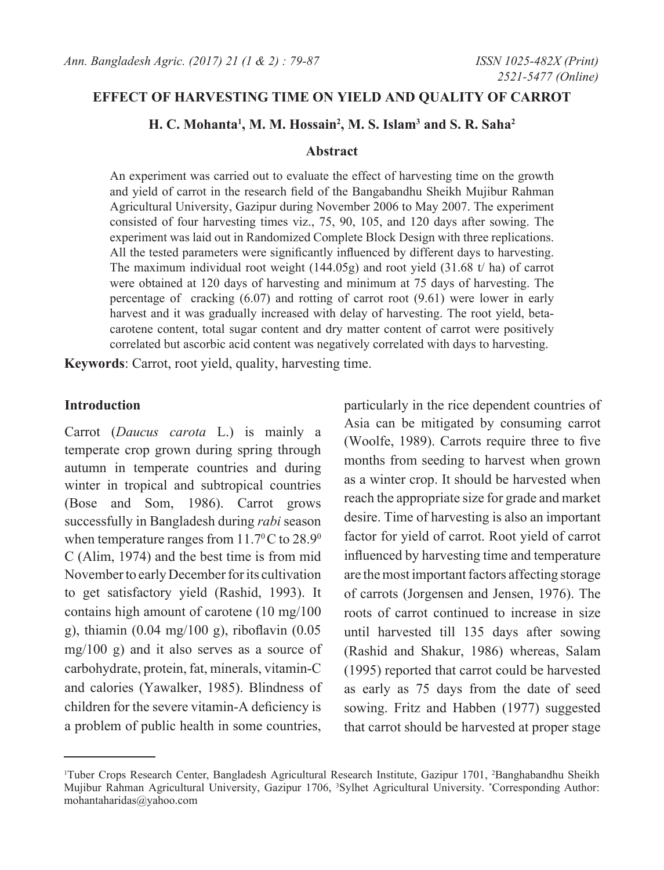# **Effect of harvesting time on yield AND QUALITY of carrot**

## **H. C. Mohanta1 , M. M. Hossain2 , M. S. Islam3 and S. R. Saha2**

#### **Abstract**

An experiment was carried out to evaluate the effect of harvesting time on the growth and yield of carrot in the research field of the Bangabandhu Sheikh Mujibur Rahman Agricultural University, Gazipur during November 2006 to May 2007. The experiment consisted of four harvesting times viz., 75, 90, 105, and 120 days after sowing. The experiment was laid out in Randomized Complete Block Design with three replications. All the tested parameters were significantly influenced by different days to harvesting. The maximum individual root weight (144.05g) and root yield (31.68 t/ ha) of carrot were obtained at 120 days of harvesting and minimum at 75 days of harvesting. The percentage of cracking (6.07) and rotting of carrot root (9.61) were lower in early harvest and it was gradually increased with delay of harvesting. The root yield, betacarotene content, total sugar content and dry matter content of carrot were positively correlated but ascorbic acid content was negatively correlated with days to harvesting.

**Keywords**: Carrot, root yield, quality, harvesting time.

## **Introduction**

Carrot (*Daucus carota* L.) is mainly a temperate crop grown during spring through autumn in temperate countries and during winter in tropical and subtropical countries (Bose and Som, 1986). Carrot grows successfully in Bangladesh during *rabi* season when temperature ranges from  $11.7^{\circ}$ C to  $28.9^{\circ}$ C (Alim, 1974) and the best time is from mid November to early December for its cultivation to get satisfactory yield (Rashid, 1993). It contains high amount of carotene (10 mg/100 g), thiamin (0.04 mg/100 g), riboflavin (0.05 mg/100 g) and it also serves as a source of carbohydrate, protein, fat, minerals, vitamin-C and calories (Yawalker, 1985). Blindness of children for the severe vitamin-A deficiency is a problem of public health in some countries,

particularly in the rice dependent countries of Asia can be mitigated by consuming carrot (Woolfe, 1989). Carrots require three to five months from seeding to harvest when grown as a winter crop. It should be harvested when reach the appropriate size for grade and market desire. Time of harvesting is also an important factor for yield of carrot. Root yield of carrot influenced by harvesting time and temperature are the most important factors affecting storage of carrots (Jorgensen and Jensen, 1976). The roots of carrot continued to increase in size until harvested till 135 days after sowing (Rashid and Shakur, 1986) whereas, Salam (1995) reported that carrot could be harvested as early as 75 days from the date of seed sowing. Fritz and Habben (1977) suggested that carrot should be harvested at proper stage

<sup>&</sup>lt;sup>1</sup>Tuber Crops Research Center, Bangladesh Agricultural Research Institute, Gazipur 1701, <sup>2</sup>Banghabandhu Sheikh Mujibur Rahman Agricultural University, Gazipur 1706, <sup>3</sup>Sylhet Agricultural University. \*Corresponding Author: mohantaharidas@yahoo.com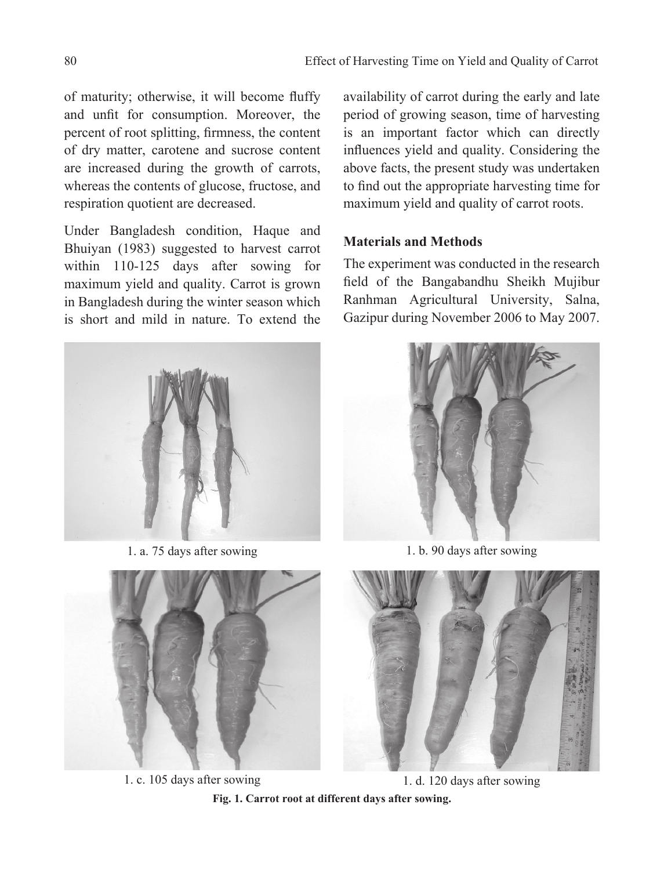of maturity; otherwise, it will become fluffy and unfit for consumption. Moreover, the percent of root splitting, firmness, the content of dry matter, carotene and sucrose content are increased during the growth of carrots, whereas the contents of glucose, fructose, and respiration quotient are decreased.

Under Bangladesh condition, Haque and Bhuiyan (1983) suggested to harvest carrot within 110-125 days after sowing for maximum yield and quality. Carrot is grown in Bangladesh during the winter season which is short and mild in nature. To extend the



1. a. 75 days after sowing



1. c. 105 days after sowing

availability of carrot during the early and late period of growing season, time of harvesting is an important factor which can directly influences yield and quality. Considering the above facts, the present study was undertaken to find out the appropriate harvesting time for maximum yield and quality of carrot roots.

# **Materials and Methods**

The experiment was conducted in the research field of the Bangabandhu Sheikh Mujibur Ranhman Agricultural University, Salna, Gazipur during November 2006 to May 2007.



1. b. 90 days after sowing



1. d. 120 days after sowing

**Fig. 1. Carrot root at different days after sowing.**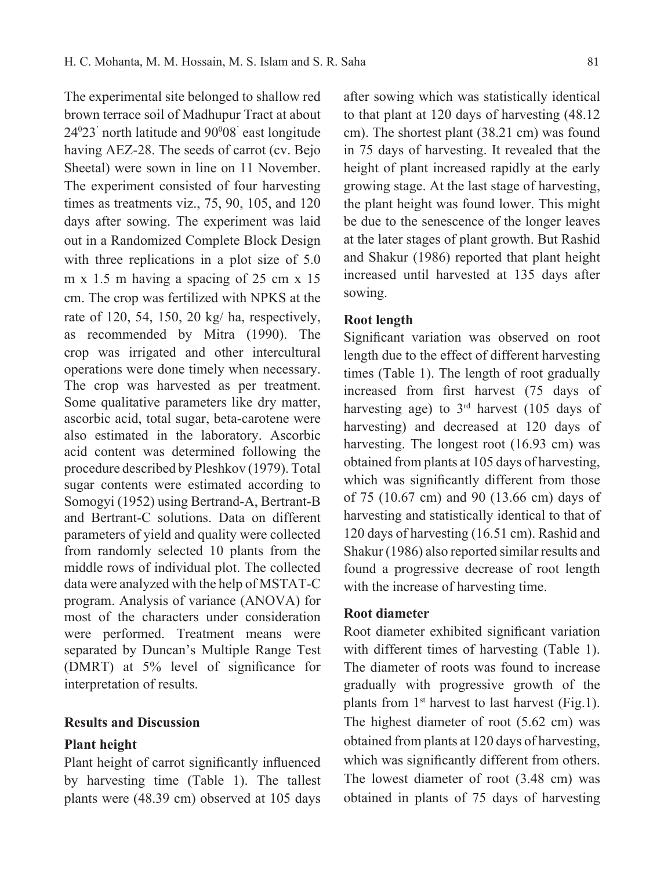The experimental site belonged to shallow red brown terrace soil of Madhupur Tract at about 240 23' north latitude and 900 08' east longitude having AEZ-28. The seeds of carrot (cv. Bejo Sheetal) were sown in line on 11 November. The experiment consisted of four harvesting times as treatments viz., 75, 90, 105, and 120 days after sowing. The experiment was laid out in a Randomized Complete Block Design with three replications in a plot size of 5.0 m x 1.5 m having a spacing of 25 cm x 15 cm. The crop was fertilized with NPKS at the rate of 120, 54, 150, 20 kg/ ha, respectively, as recommended by Mitra (1990). The crop was irrigated and other intercultural operations were done timely when necessary. The crop was harvested as per treatment. Some qualitative parameters like dry matter, ascorbic acid, total sugar, beta-carotene were also estimated in the laboratory. Ascorbic acid content was determined following the procedure described by Pleshkov (1979). Total sugar contents were estimated according to Somogyi (1952) using Bertrand-A, Bertrant-B and Bertrant-C solutions. Data on different parameters of yield and quality were collected from randomly selected 10 plants from the middle rows of individual plot. The collected data were analyzed with the help of MSTAT-C program. Analysis of variance (ANOVA) for most of the characters under consideration were performed. Treatment means were separated by Duncan's Multiple Range Test (DMRT) at 5% level of significance for interpretation of results.

### **Results and Discussion**

### **Plant height**

Plant height of carrot significantly influenced by harvesting time (Table 1). The tallest plants were (48.39 cm) observed at 105 days

after sowing which was statistically identical to that plant at 120 days of harvesting (48.12 cm). The shortest plant (38.21 cm) was found in 75 days of harvesting. It revealed that the height of plant increased rapidly at the early growing stage. At the last stage of harvesting, the plant height was found lower. This might be due to the senescence of the longer leaves at the later stages of plant growth. But Rashid and Shakur (1986) reported that plant height increased until harvested at 135 days after sowing.

### **Root length**

Significant variation was observed on root length due to the effect of different harvesting times (Table 1). The length of root gradually increased from first harvest (75 days of harvesting age) to  $3<sup>rd</sup>$  harvest (105 days of harvesting) and decreased at 120 days of harvesting. The longest root (16.93 cm) was obtained from plants at 105 days of harvesting, which was significantly different from those of 75 (10.67 cm) and 90 (13.66 cm) days of harvesting and statistically identical to that of 120 days of harvesting (16.51 cm). Rashid and Shakur (1986) also reported similar results and found a progressive decrease of root length with the increase of harvesting time.

### **Root diameter**

Root diameter exhibited significant variation with different times of harvesting (Table 1). The diameter of roots was found to increase gradually with progressive growth of the plants from  $1<sup>st</sup>$  harvest to last harvest (Fig.1). The highest diameter of root (5.62 cm) was obtained from plants at 120 days of harvesting, which was significantly different from others. The lowest diameter of root (3.48 cm) was obtained in plants of 75 days of harvesting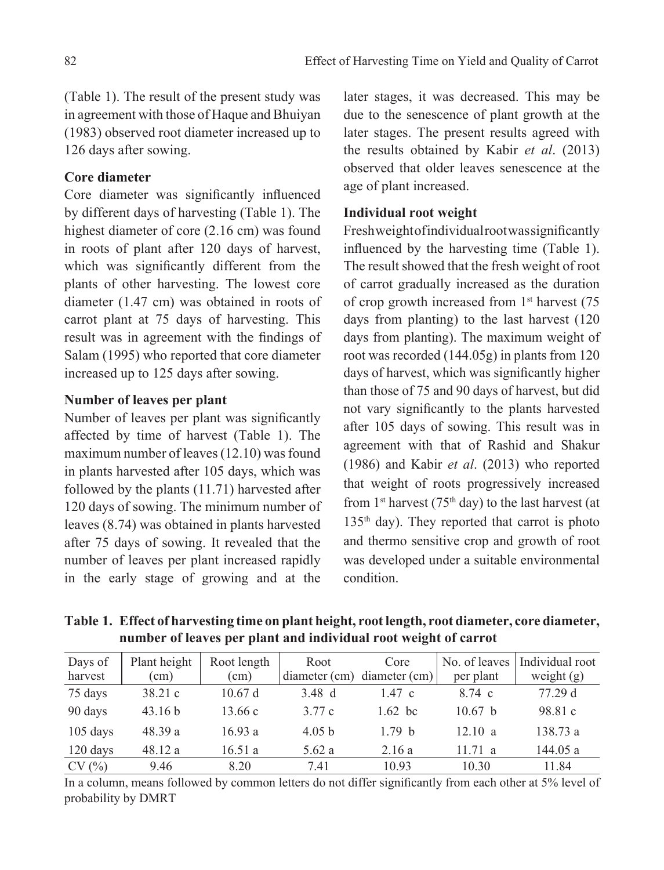(Table 1). The result of the present study was in agreement with those of Haque and Bhuiyan (1983) observed root diameter increased up to 126 days after sowing.

# **Core diameter**

Core diameter was significantly influenced by different days of harvesting (Table 1). The highest diameter of core (2.16 cm) was found in roots of plant after 120 days of harvest, which was significantly different from the plants of other harvesting. The lowest core diameter (1.47 cm) was obtained in roots of carrot plant at 75 days of harvesting. This result was in agreement with the findings of Salam (1995) who reported that core diameter increased up to 125 days after sowing.

## **Number of leaves per plant**

Number of leaves per plant was significantly affected by time of harvest (Table 1). The maximum number of leaves (12.10) was found in plants harvested after 105 days, which was followed by the plants (11.71) harvested after 120 days of sowing. The minimum number of leaves (8.74) was obtained in plants harvested after 75 days of sowing. It revealed that the number of leaves per plant increased rapidly in the early stage of growing and at the

later stages, it was decreased. This may be due to the senescence of plant growth at the later stages. The present results agreed with the results obtained by Kabir *et al*. (2013) observed that older leaves senescence at the age of plant increased.

## **Individual root weight**

Fresh weight of individual root was significantly influenced by the harvesting time (Table 1). The result showed that the fresh weight of root of carrot gradually increased as the duration of crop growth increased from 1<sup>st</sup> harvest (75 days from planting) to the last harvest (120 days from planting). The maximum weight of root was recorded (144.05g) in plants from 120 days of harvest, which was significantly higher than those of 75 and 90 days of harvest, but did not vary significantly to the plants harvested after 105 days of sowing. This result was in agreement with that of Rashid and Shakur (1986) and Kabir *et al*. (2013) who reported that weight of roots progressively increased from  $1<sup>st</sup>$  harvest (75<sup>th</sup> day) to the last harvest (at 135th day). They reported that carrot is photo and thermo sensitive crop and growth of root was developed under a suitable environmental condition.

**Table 1. Effect of harvesting time on plant height, root length, root diameter, core diameter, number of leaves per plant and individual root weight of carrot** 

| Days of<br>harvest | Plant height<br>(cm) | Root length<br>(cm) | Root<br>$diameter$ (cm) | Core<br>diameter (cm) | No. of leaves<br>per plant | Individual root<br>weight $(g)$ |
|--------------------|----------------------|---------------------|-------------------------|-----------------------|----------------------------|---------------------------------|
| 75 days            | 38.21c               | 10.67 d             | 3.48 d                  | 1.47c                 | 8.74 c                     | 77.29 d                         |
| 90 days            | 43.16 b              | 13.66c              | 3.77 c                  | $1.62$ bc             | 10.67 h                    | 98.81 c                         |
| $105$ days         | 48.39 a              | 16.93a              | 4.05 b                  | 1.79 h                | 12.10 a                    | 138.73 a                        |
| 120 days           | 48.12a               | 16.51a              | 5.62a                   | 2.16a                 | 11.71 a                    | 144.05 a                        |
| CV(%)              | 9.46                 | 8.20                | 7.41                    | 10.93                 | 10.30                      | 11.84                           |

In a column, means followed by common letters do not differ significantly from each other at 5% level of probability by DMRT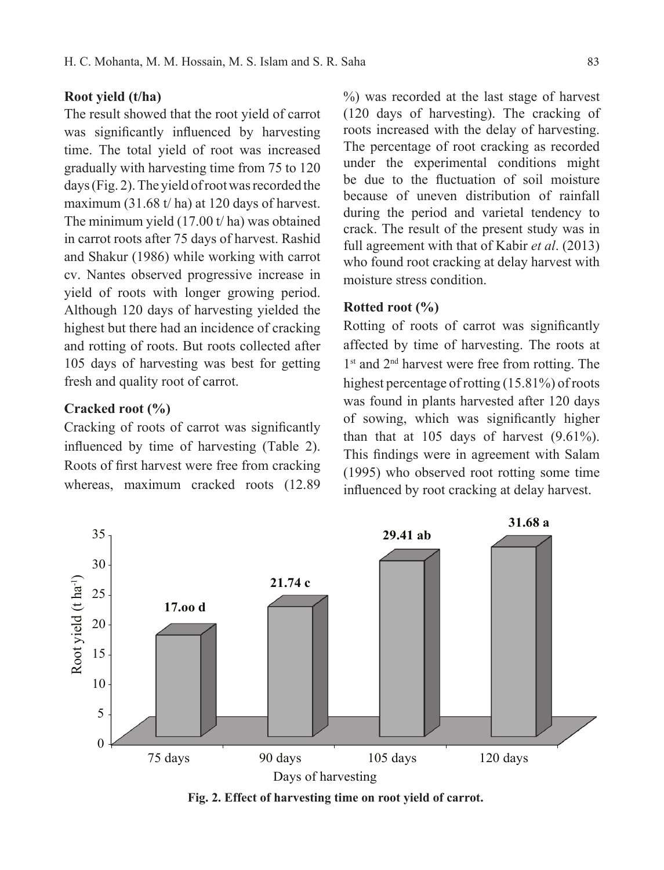## **Root yield (t/ha)**

The result showed that the root yield of carrot was significantly influenced by harvesting time. The total yield of root was increased gradually with harvesting time from 75 to 120 days (Fig. 2). The yield of root was recorded the maximum (31.68 t/ ha) at 120 days of harvest. The minimum yield (17.00 t/ ha) was obtained in carrot roots after 75 days of harvest. Rashid and Shakur (1986) while working with carrot cv. Nantes observed progressive increase in yield of roots with longer growing period. Although 120 days of harvesting yielded the highest but there had an incidence of cracking and rotting of roots. But roots collected after 105 days of harvesting was best for getting fresh and quality root of carrot.

## **Cracked root (%)**

Cracking of roots of carrot was significantly influenced by time of harvesting (Table 2). Roots of first harvest were free from cracking whereas, maximum cracked roots (12.89

%) was recorded at the last stage of harvest (120 days of harvesting). The cracking of roots increased with the delay of harvesting. The percentage of root cracking as recorded under the experimental conditions might be due to the fluctuation of soil moisture because of uneven distribution of rainfall during the period and varietal tendency to crack. The result of the present study was in full agreement with that of Kabir *et al*. (2013) who found root cracking at delay harvest with moisture stress condition.

## **Rotted root (%)**

Rotting of roots of carrot was significantly affected by time of harvesting. The roots at 1<sup>st</sup> and 2<sup>nd</sup> harvest were free from rotting. The highest percentage of rotting (15.81%) of roots was found in plants harvested after 120 days of sowing, which was significantly higher than that at 105 days of harvest (9.61%). This findings were in agreement with Salam (1995) who observed root rotting some time influenced by root cracking at delay harvest.



**Fig. 2. Effect of harvesting time on root yield of carrot.**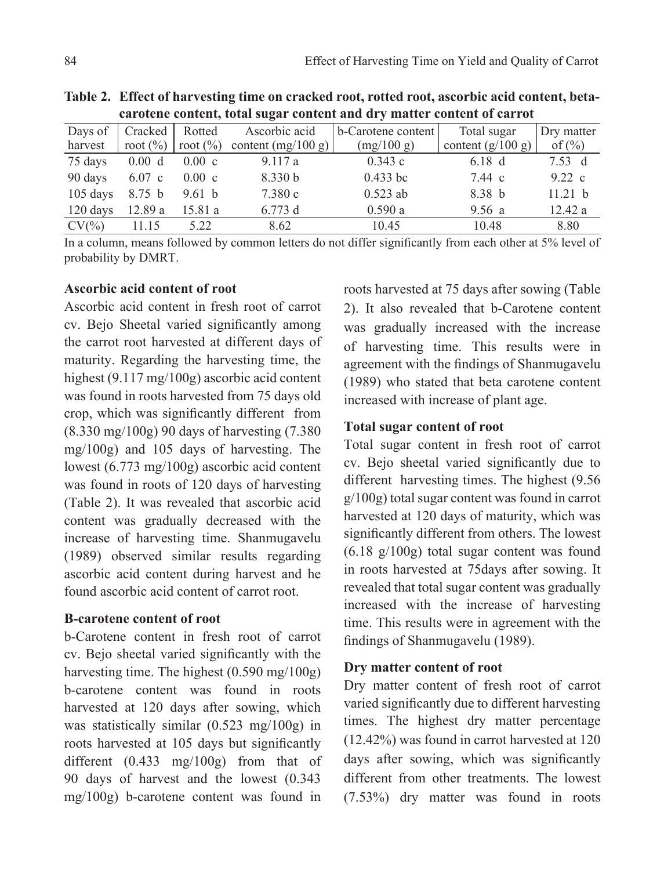| <u>tarbitht content, iolaí sugar content anu úr y matier content or carrot</u> |              |                 |                      |                    |                     |                  |  |  |  |  |
|--------------------------------------------------------------------------------|--------------|-----------------|----------------------|--------------------|---------------------|------------------|--|--|--|--|
| Days of                                                                        | Cracked      | Rotted          | Ascorbic acid        | b-Carotene content | Total sugar         | Dry matter       |  |  |  |  |
| harvest                                                                        | root $(\% )$ | root $(\% )$    | content $(mg/100 g)$ | (mg/100 g)         | content $(g/100 g)$ | of $(\% )$       |  |  |  |  |
| 75 days                                                                        | 0.00 d       | $0.00\text{ c}$ | 9.117a               | 0.343c             | $6.18\text{ d}$     | 7.53 d           |  |  |  |  |
| 90 days                                                                        | $6.07$ c     | $0.00\text{ c}$ | 8.330 b              | $0.433$ bc         | 7.44 c              | $9.22 \text{ c}$ |  |  |  |  |
| $105$ days                                                                     | 8.75 b       | 9.61 h          | 7.380c               | $0.523$ ab         | 8.38 b              | 11.21 b          |  |  |  |  |
| $120$ days                                                                     | 12.89a       | 15.81 a         | 6.773 d              | 0.590a             | 9.56a               | 12.42a           |  |  |  |  |
| $CV(\%)$                                                                       | 11.15        | 5.22            | 8.62                 | 10.45              | 10.48               | 8.80             |  |  |  |  |

**Table 2. Effect of harvesting time on cracked root, rotted root, ascorbic acid content, betacarotene content, total sugar content and dry matter content of carrot** 

In a column, means followed by common letters do not differ significantly from each other at 5% level of probability by DMRT.

# **Ascorbic acid content of root**

Ascorbic acid content in fresh root of carrot cv. Bejo Sheetal varied significantly among the carrot root harvested at different days of maturity. Regarding the harvesting time, the highest (9.117 mg/100g) ascorbic acid content was found in roots harvested from 75 days old crop, which was significantly different from (8.330 mg/100g) 90 days of harvesting (7.380 mg/100g) and 105 days of harvesting. The lowest (6.773 mg/100g) ascorbic acid content was found in roots of 120 days of harvesting (Table 2). It was revealed that ascorbic acid content was gradually decreased with the increase of harvesting time. Shanmugavelu (1989) observed similar results regarding ascorbic acid content during harvest and he found ascorbic acid content of carrot root.

# **B-carotene content of root**

b-Carotene content in fresh root of carrot cv. Bejo sheetal varied significantly with the harvesting time. The highest (0.590 mg/100g) b-carotene content was found in roots harvested at 120 days after sowing, which was statistically similar (0.523 mg/100g) in roots harvested at 105 days but significantly different (0.433 mg/100g) from that of 90 days of harvest and the lowest (0.343 mg/100g) b-carotene content was found in

roots harvested at 75 days after sowing (Table 2). It also revealed that b-Carotene content was gradually increased with the increase of harvesting time. This results were in agreement with the findings of Shanmugavelu (1989) who stated that beta carotene content increased with increase of plant age.

# **Total sugar content of root**

Total sugar content in fresh root of carrot cv. Bejo sheetal varied significantly due to different harvesting times. The highest (9.56 g/100g) total sugar content was found in carrot harvested at 120 days of maturity, which was significantly different from others. The lowest (6.18 g/100g) total sugar content was found in roots harvested at 75days after sowing. It revealed that total sugar content was gradually increased with the increase of harvesting time. This results were in agreement with the findings of Shanmugavelu (1989).

# **Dry matter content of root**

Dry matter content of fresh root of carrot varied significantly due to different harvesting times. The highest dry matter percentage (12.42%) was found in carrot harvested at 120 days after sowing, which was significantly different from other treatments. The lowest (7.53%) dry matter was found in roots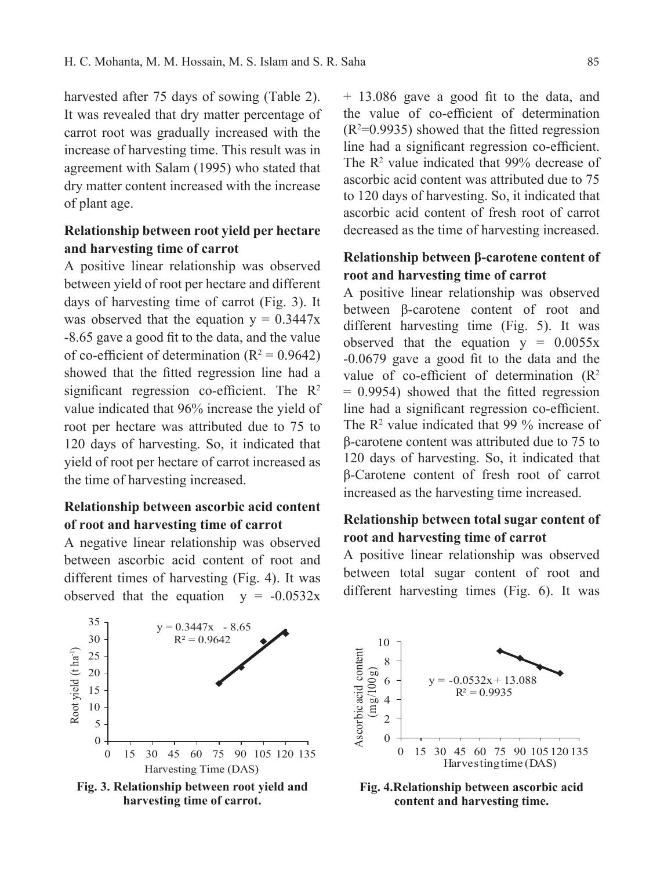harvested after 75 days of sowing (Table 2). It was revealed that dry matter percentage of carrot root was gradually increased with the increase of harvesting time. This result was in agreement with Salam (1995) who stated that dry matter content increased with the increase of plant age.

# **Relationship between root yield per hectare and harvesting time of carrot**

A positive linear relationship was observed between yield of root per hectare and different days of harvesting time of carrot (Fig. 3). It was observed that the equation  $y = 0.3447x$ -8.65 gave a good fit to the data, and the value of co-efficient of determination  $(R^2 = 0.9642)$ showed that the fitted regression line had a significant regression co-efficient. The  $R<sup>2</sup>$ value indicated that 96% increase the yield of root per hectare was attributed due to 75 to 120 days of harvesting. So, it indicated that yield of root per hectare of carrot increased as the time of harvesting increased.

# **Relationship between ascorbic acid content of root and harvesting time of carrot**

A negative linear relationship was observed between ascorbic acid content of root and different times of harvesting (Fig. 4). It was observed that the equation  $y = -0.0532x$ 



**Fig. 3. Relationship between root yield and harvesting time of carrot.**

+ 13.086 gave a good fit to the data, and the value of co-efficient of determination  $(R<sup>2</sup>=0.9935)$  showed that the fitted regression line had a significant regression co-efficient. The  $\mathbb{R}^2$  value indicated that 99% decrease of ascorbic acid content was attributed due to 75 to 120 days of harvesting. So, it indicated that ascorbic acid content of fresh root of carrot decreased as the time of harvesting increased.

# **Relationship between β-carotene content of root and harvesting time of carrot**

A positive linear relationship was observed between β-carotene content of root and different harvesting time (Fig. 5). It was observed that the equation  $y = 0.0055x$ -0.0679 gave a good fit to the data and the value of co-efficient of determination  $(R^2)$ = 0.9954) showed that the fitted regression line had a significant regression co-efficient. The  $\mathbb{R}^2$  value indicated that 99 % increase of β-carotene content was attributed due to 75 to 120 days of harvesting. So, it indicated that β-Carotene content of fresh root of carrot increased as the harvesting time increased.

# **Relationship between total sugar content of root and harvesting time of carrot**

A positive linear relationship was observed between total sugar content of root and different harvesting times (Fig. 6). It was



**Fig. 4.Relationship between ascorbic acid content and harvesting time.**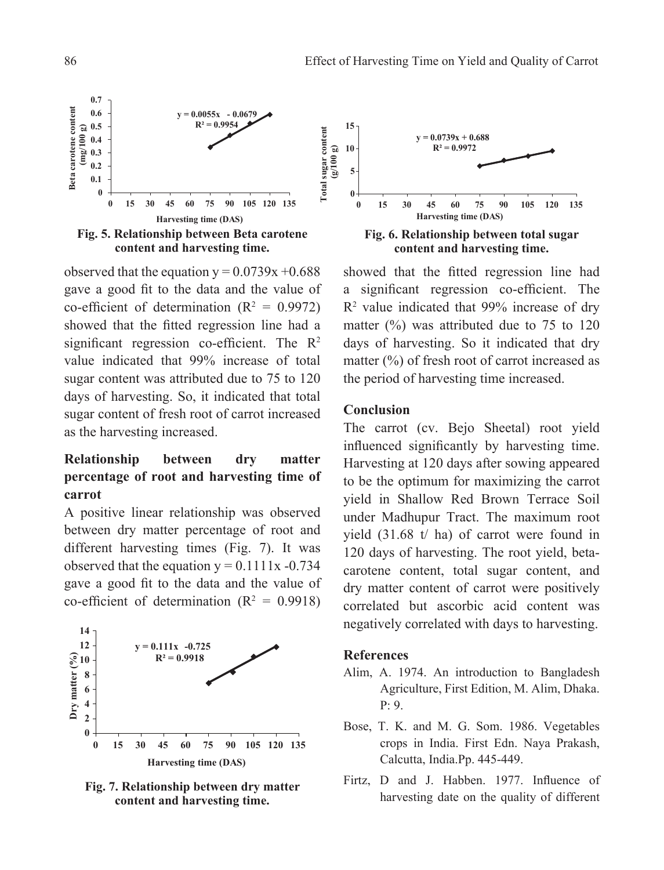

observed that the equation  $y = 0.0739x + 0.688$ gave a good fit to the data and the value of co-efficient of determination  $(R^2 = 0.9972)$ showed that the fitted regression line had a significant regression co-efficient. The  $R<sup>2</sup>$ value indicated that 99% increase of total sugar content was attributed due to 75 to 120 days of harvesting. So, it indicated that total sugar content of fresh root of carrot increased as the harvesting increased.

# **Relationship between dry matter percentage of root and harvesting time of carrot**

A positive linear relationship was observed between dry matter percentage of root and different harvesting times (Fig. 7). It was observed that the equation  $y = 0.1111x - 0.734$ gave a good fit to the data and the value of co-efficient of determination  $(R^2 = 0.9918)$ 



**Fig. 7. Relationship between dry matter content and harvesting time.**



showed that the fitted regression line had a significant regression co-efficient. The R<sup>2</sup> value indicated that 99% increase of dry matter  $(\%)$  was attributed due to 75 to 120 days of harvesting. So it indicated that dry matter (%) of fresh root of carrot increased as the period of harvesting time increased.

#### **Conclusion**

The carrot (cv. Bejo Sheetal) root yield influenced significantly by harvesting time. Harvesting at 120 days after sowing appeared to be the optimum for maximizing the carrot yield in Shallow Red Brown Terrace Soil under Madhupur Tract. The maximum root yield (31.68 t/ ha) of carrot were found in 120 days of harvesting. The root yield, betacarotene content, total sugar content, and dry matter content of carrot were positively correlated but ascorbic acid content was negatively correlated with days to harvesting.

#### **References**

- Alim, A. 1974. An introduction to Bangladesh Agriculture, First Edition, M. Alim, Dhaka. P: 9.
- Bose, T. K. and M. G. Som. 1986. Vegetables crops in India. First Edn. Naya Prakash, Calcutta, India.Pp. 445-449.
- Firtz, D and J. Habben. 1977. Influence of harvesting date on the quality of different